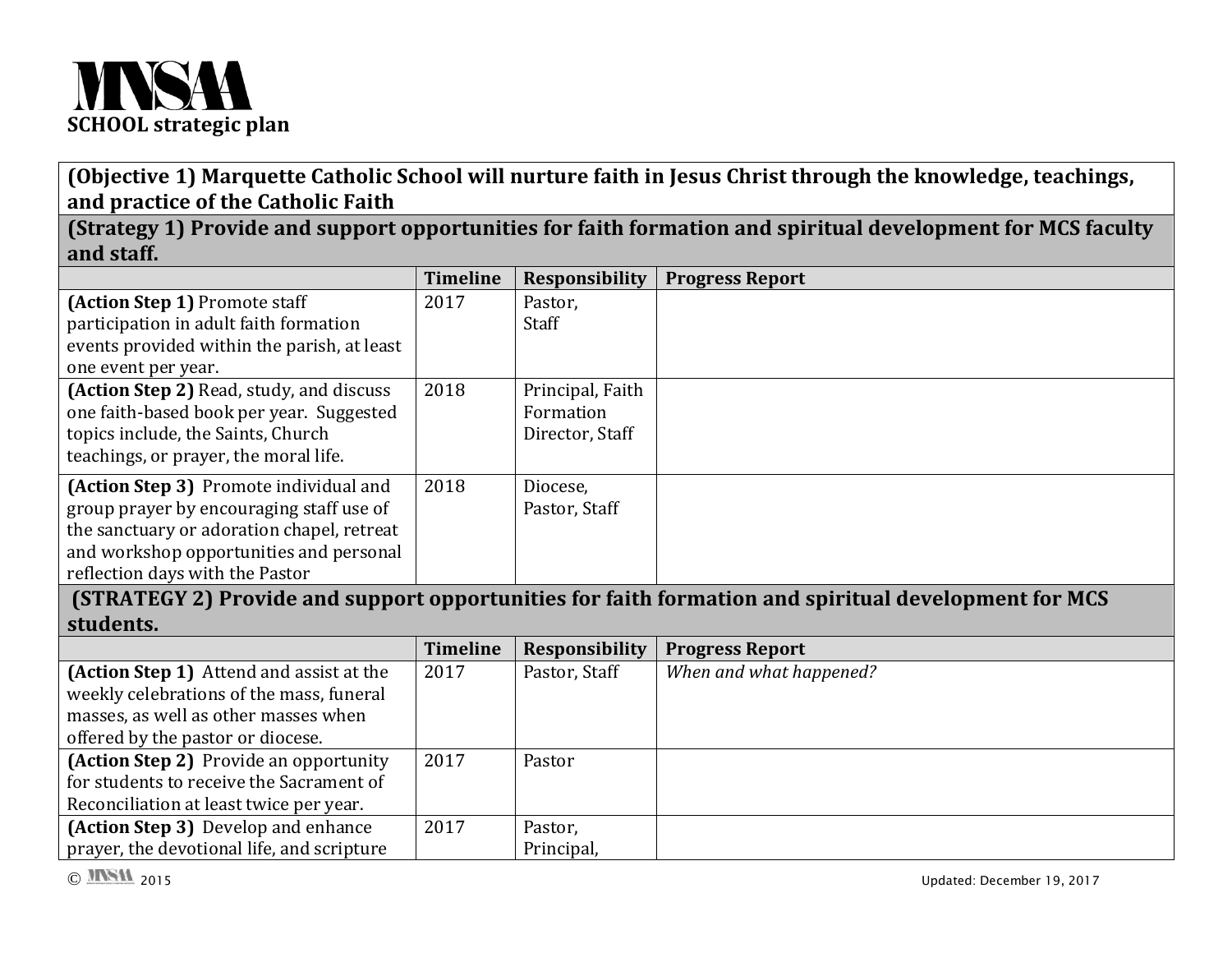

**(Objective 1) Marquette Catholic School will nurture faith in Jesus Christ through the knowledge, teachings, and practice of the Catholic Faith**

**(Strategy 1) Provide and support opportunities for faith formation and spiritual development for MCS faculty and staff.**

|                                             | <b>Timeline</b> | <b>Responsibility</b> | <b>Progress Report</b>                                                                               |
|---------------------------------------------|-----------------|-----------------------|------------------------------------------------------------------------------------------------------|
| (Action Step 1) Promote staff               | 2017            | Pastor,               |                                                                                                      |
| participation in adult faith formation      |                 | Staff                 |                                                                                                      |
| events provided within the parish, at least |                 |                       |                                                                                                      |
| one event per year.                         |                 |                       |                                                                                                      |
| (Action Step 2) Read, study, and discuss    | 2018            | Principal, Faith      |                                                                                                      |
| one faith-based book per year. Suggested    |                 | Formation             |                                                                                                      |
| topics include, the Saints, Church          |                 | Director, Staff       |                                                                                                      |
| teachings, or prayer, the moral life.       |                 |                       |                                                                                                      |
| (Action Step 3) Promote individual and      | 2018            | Diocese,              |                                                                                                      |
| group prayer by encouraging staff use of    |                 | Pastor, Staff         |                                                                                                      |
| the sanctuary or adoration chapel, retreat  |                 |                       |                                                                                                      |
| and workshop opportunities and personal     |                 |                       |                                                                                                      |
| reflection days with the Pastor             |                 |                       |                                                                                                      |
|                                             |                 |                       | (STRATEGY 2) Provide and support opportunities for faith formation and spiritual development for MCS |
| students.                                   |                 |                       |                                                                                                      |
|                                             | <b>Timeline</b> | <b>Responsibility</b> |                                                                                                      |
|                                             |                 |                       | <b>Progress Report</b>                                                                               |
| (Action Step 1) Attend and assist at the    | 2017            | Pastor, Staff         | When and what happened?                                                                              |
| weekly celebrations of the mass, funeral    |                 |                       |                                                                                                      |
| masses, as well as other masses when        |                 |                       |                                                                                                      |
| offered by the pastor or diocese.           |                 |                       |                                                                                                      |
| (Action Step 2) Provide an opportunity      | 2017            | Pastor                |                                                                                                      |
| for students to receive the Sacrament of    |                 |                       |                                                                                                      |
| Reconciliation at least twice per year.     |                 |                       |                                                                                                      |
| (Action Step 3) Develop and enhance         | 2017            | Pastor,               |                                                                                                      |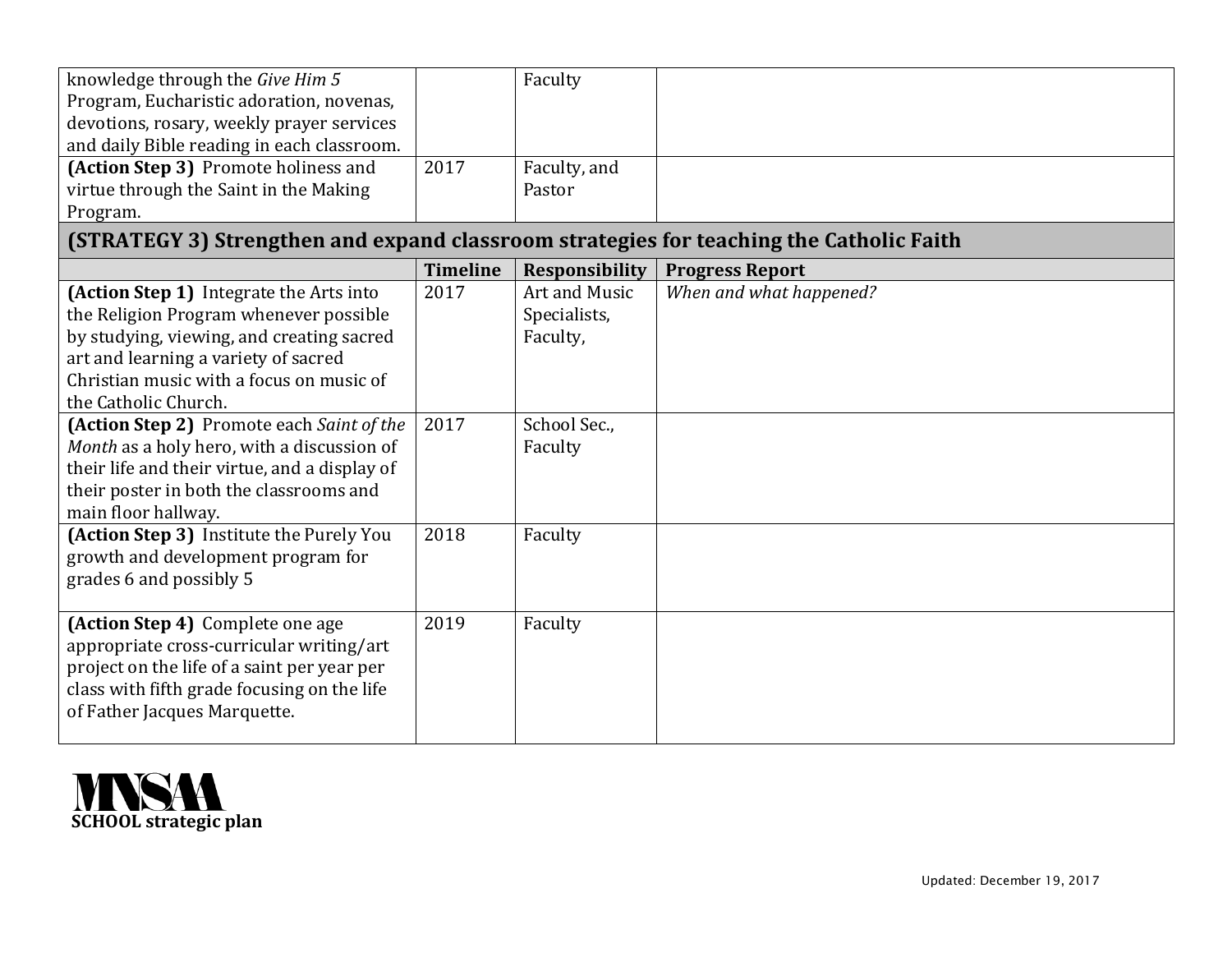| knowledge through the Give Him 5                                                        |                 | Faculty               |                         |
|-----------------------------------------------------------------------------------------|-----------------|-----------------------|-------------------------|
| Program, Eucharistic adoration, novenas,                                                |                 |                       |                         |
| devotions, rosary, weekly prayer services                                               |                 |                       |                         |
| and daily Bible reading in each classroom.                                              |                 |                       |                         |
| (Action Step 3) Promote holiness and                                                    | 2017            | Faculty, and          |                         |
| virtue through the Saint in the Making                                                  |                 | Pastor                |                         |
| Program.                                                                                |                 |                       |                         |
| (STRATEGY 3) Strengthen and expand classroom strategies for teaching the Catholic Faith |                 |                       |                         |
|                                                                                         | <b>Timeline</b> | <b>Responsibility</b> | <b>Progress Report</b>  |
| (Action Step 1) Integrate the Arts into                                                 | 2017            | Art and Music         | When and what happened? |
| the Religion Program whenever possible                                                  |                 | Specialists,          |                         |
| by studying, viewing, and creating sacred                                               |                 | Faculty,              |                         |
| art and learning a variety of sacred                                                    |                 |                       |                         |
| Christian music with a focus on music of                                                |                 |                       |                         |
| the Catholic Church.                                                                    |                 |                       |                         |
| (Action Step 2) Promote each Saint of the                                               | 2017            | School Sec.,          |                         |
| Month as a holy hero, with a discussion of                                              |                 | Faculty               |                         |
| their life and their virtue, and a display of                                           |                 |                       |                         |
| their poster in both the classrooms and                                                 |                 |                       |                         |
| main floor hallway.                                                                     |                 |                       |                         |
| (Action Step 3) Institute the Purely You                                                | 2018            | Faculty               |                         |
| growth and development program for                                                      |                 |                       |                         |
| grades 6 and possibly 5                                                                 |                 |                       |                         |
|                                                                                         |                 |                       |                         |
| (Action Step 4) Complete one age                                                        | 2019            | Faculty               |                         |
| appropriate cross-curricular writing/art                                                |                 |                       |                         |
| project on the life of a saint per year per                                             |                 |                       |                         |
| class with fifth grade focusing on the life                                             |                 |                       |                         |
| of Father Jacques Marquette.                                                            |                 |                       |                         |
|                                                                                         |                 |                       |                         |

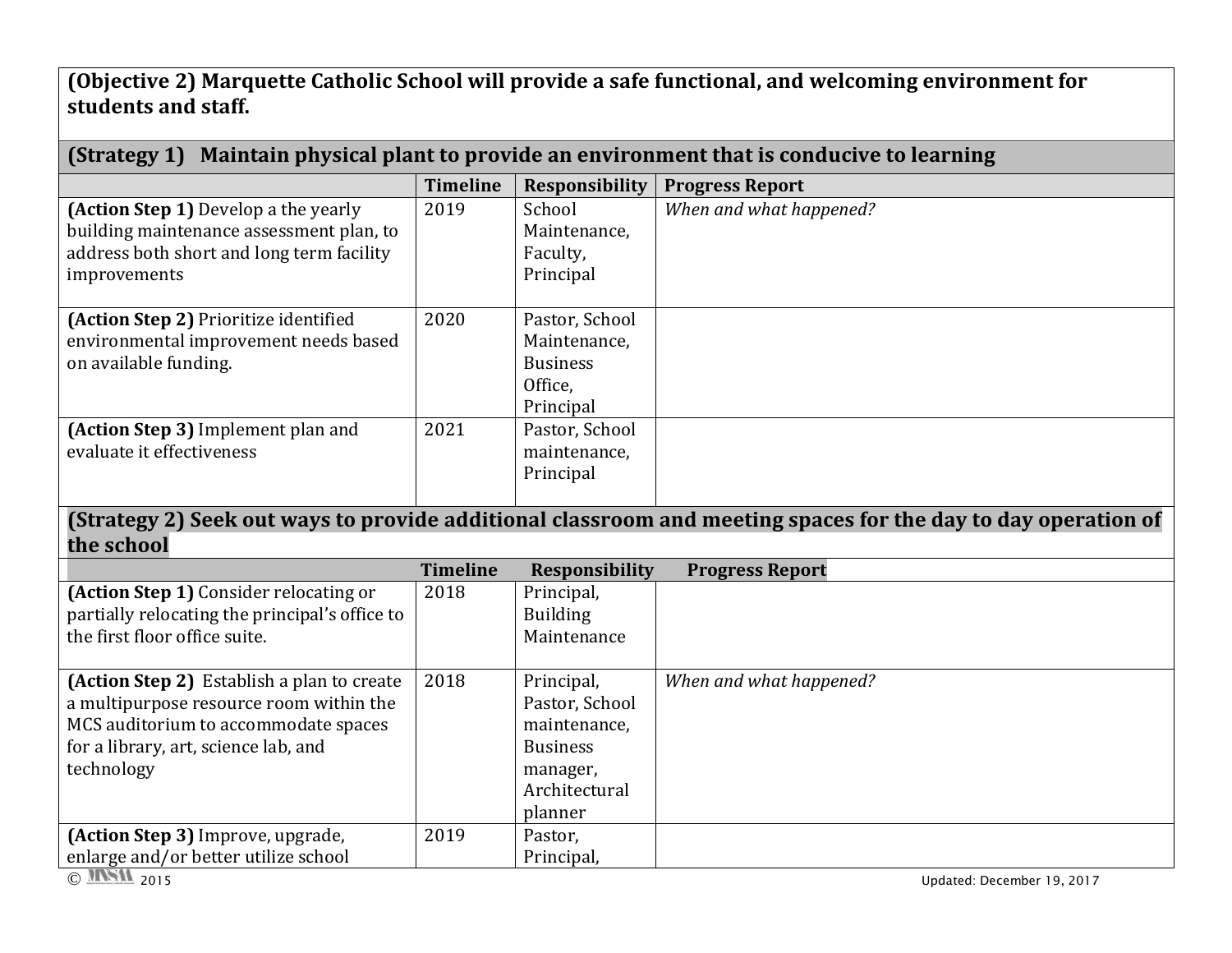**(Objective 2) Marquette Catholic School will provide a safe functional, and welcoming environment for students and staff.**

| (Strategy 1) Maintain physical plant to provide an environment that is conducive to learning                                                                                        |                 |                                                                                                         |                                                                                                               |  |
|-------------------------------------------------------------------------------------------------------------------------------------------------------------------------------------|-----------------|---------------------------------------------------------------------------------------------------------|---------------------------------------------------------------------------------------------------------------|--|
|                                                                                                                                                                                     | <b>Timeline</b> | <b>Responsibility</b>                                                                                   | <b>Progress Report</b>                                                                                        |  |
| (Action Step 1) Develop a the yearly<br>building maintenance assessment plan, to<br>address both short and long term facility<br>improvements                                       | 2019            | School<br>Maintenance,<br>Faculty,<br>Principal                                                         | When and what happened?                                                                                       |  |
| (Action Step 2) Prioritize identified<br>environmental improvement needs based<br>on available funding.                                                                             | 2020            | Pastor, School<br>Maintenance,<br><b>Business</b><br>Office,<br>Principal                               |                                                                                                               |  |
| (Action Step 3) Implement plan and<br>evaluate it effectiveness                                                                                                                     | 2021            | Pastor, School<br>maintenance,<br>Principal                                                             |                                                                                                               |  |
| the school                                                                                                                                                                          |                 |                                                                                                         | (Strategy 2) Seek out ways to provide additional classroom and meeting spaces for the day to day operation of |  |
|                                                                                                                                                                                     | <b>Timeline</b> | <b>Responsibility</b>                                                                                   | <b>Progress Report</b>                                                                                        |  |
| (Action Step 1) Consider relocating or<br>partially relocating the principal's office to<br>the first floor office suite.                                                           | 2018            | Principal,<br><b>Building</b><br>Maintenance                                                            |                                                                                                               |  |
| (Action Step 2) Establish a plan to create<br>a multipurpose resource room within the<br>MCS auditorium to accommodate spaces<br>for a library, art, science lab, and<br>technology | 2018            | Principal,<br>Pastor, School<br>maintenance,<br><b>Business</b><br>manager,<br>Architectural<br>planner | When and what happened?                                                                                       |  |
| (Action Step 3) Improve, upgrade,                                                                                                                                                   | 2019            | Pastor,                                                                                                 |                                                                                                               |  |
| enlarge and/or better utilize school<br>© MSIL 2015                                                                                                                                 |                 | Principal,                                                                                              | Updated: December 19, 2017                                                                                    |  |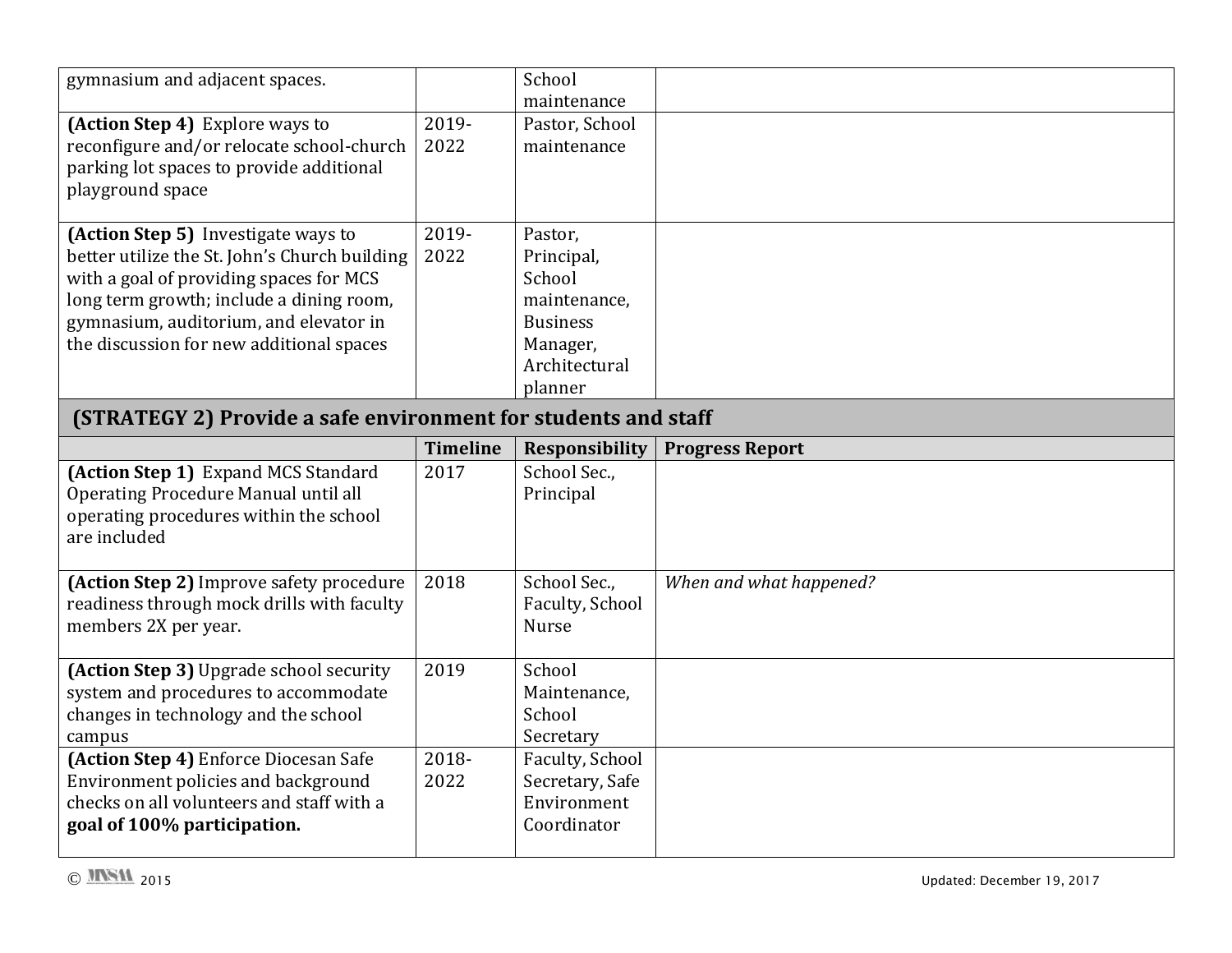| gymnasium and adjacent spaces.                                                                                                                                                                                                                                    |                         | School<br>maintenance                                                                                      |                         |
|-------------------------------------------------------------------------------------------------------------------------------------------------------------------------------------------------------------------------------------------------------------------|-------------------------|------------------------------------------------------------------------------------------------------------|-------------------------|
| (Action Step 4) Explore ways to<br>reconfigure and/or relocate school-church<br>parking lot spaces to provide additional<br>playground space                                                                                                                      | 2019-<br>2022           | Pastor, School<br>maintenance                                                                              |                         |
| (Action Step 5) Investigate ways to<br>better utilize the St. John's Church building<br>with a goal of providing spaces for MCS<br>long term growth; include a dining room,<br>gymnasium, auditorium, and elevator in<br>the discussion for new additional spaces | 2019-<br>2022           | Pastor,<br>Principal,<br>School<br>maintenance,<br><b>Business</b><br>Manager,<br>Architectural<br>planner |                         |
| (STRATEGY 2) Provide a safe environment for students and staff                                                                                                                                                                                                    |                         |                                                                                                            |                         |
| (Action Step 1) Expand MCS Standard                                                                                                                                                                                                                               | <b>Timeline</b><br>2017 | <b>Responsibility</b>                                                                                      | <b>Progress Report</b>  |
| Operating Procedure Manual until all<br>operating procedures within the school<br>are included                                                                                                                                                                    |                         | School Sec.,<br>Principal                                                                                  |                         |
| (Action Step 2) Improve safety procedure<br>readiness through mock drills with faculty<br>members 2X per year.                                                                                                                                                    | 2018                    | School Sec.,<br>Faculty, School<br><b>Nurse</b>                                                            | When and what happened? |
| (Action Step 3) Upgrade school security<br>system and procedures to accommodate<br>changes in technology and the school<br>campus<br>(Action Step 4) Enforce Diocesan Safe                                                                                        | 2019<br>2018-           | School<br>Maintenance,<br>School<br>Secretary                                                              |                         |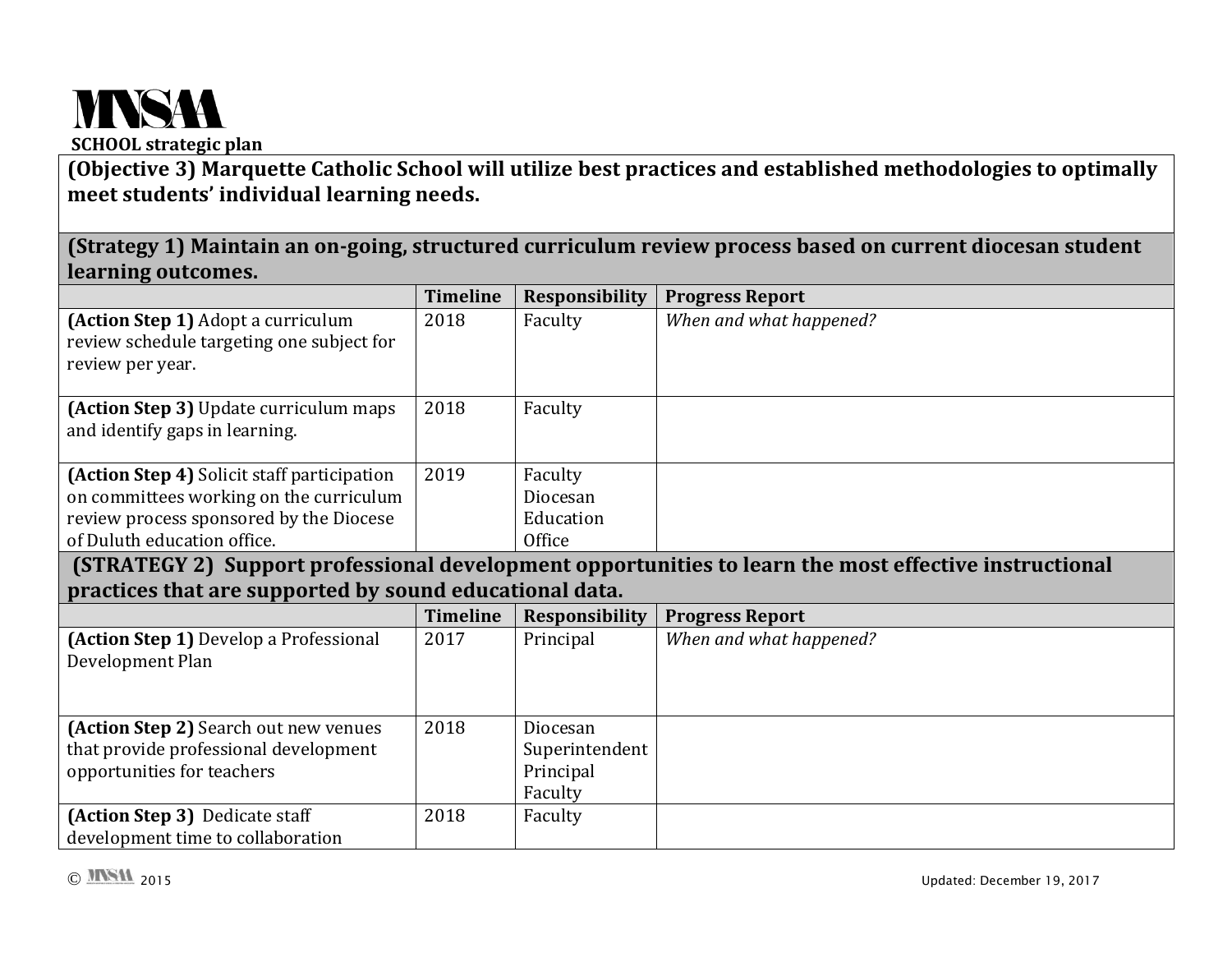## **MNSAA SCHOOL strategic plan**

## **(Objective 3) Marquette Catholic School will utilize best practices and established methodologies to optimally meet students' individual learning needs.**

**(Strategy 1) Maintain an on-going, structured curriculum review process based on current diocesan student learning outcomes.**

|                                                                                                                                                                  | <b>Timeline</b> | <b>Responsibility</b>                              | <b>Progress Report</b>                                                                                |
|------------------------------------------------------------------------------------------------------------------------------------------------------------------|-----------------|----------------------------------------------------|-------------------------------------------------------------------------------------------------------|
| (Action Step 1) Adopt a curriculum<br>review schedule targeting one subject for<br>review per year.                                                              | 2018            | Faculty                                            | When and what happened?                                                                               |
| (Action Step 3) Update curriculum maps<br>and identify gaps in learning.                                                                                         | 2018            | Faculty                                            |                                                                                                       |
| (Action Step 4) Solicit staff participation<br>on committees working on the curriculum<br>review process sponsored by the Diocese<br>of Duluth education office. | 2019            | Faculty<br>Diocesan<br>Education<br>Office         |                                                                                                       |
|                                                                                                                                                                  |                 |                                                    | (STRATEGY 2) Support professional development opportunities to learn the most effective instructional |
| practices that are supported by sound educational data.                                                                                                          |                 |                                                    |                                                                                                       |
|                                                                                                                                                                  |                 |                                                    |                                                                                                       |
|                                                                                                                                                                  | <b>Timeline</b> | <b>Responsibility</b>                              | <b>Progress Report</b>                                                                                |
| (Action Step 1) Develop a Professional<br>Development Plan                                                                                                       | 2017            | Principal                                          | When and what happened?                                                                               |
| (Action Step 2) Search out new venues<br>that provide professional development<br>opportunities for teachers                                                     | 2018            | Diocesan<br>Superintendent<br>Principal<br>Faculty |                                                                                                       |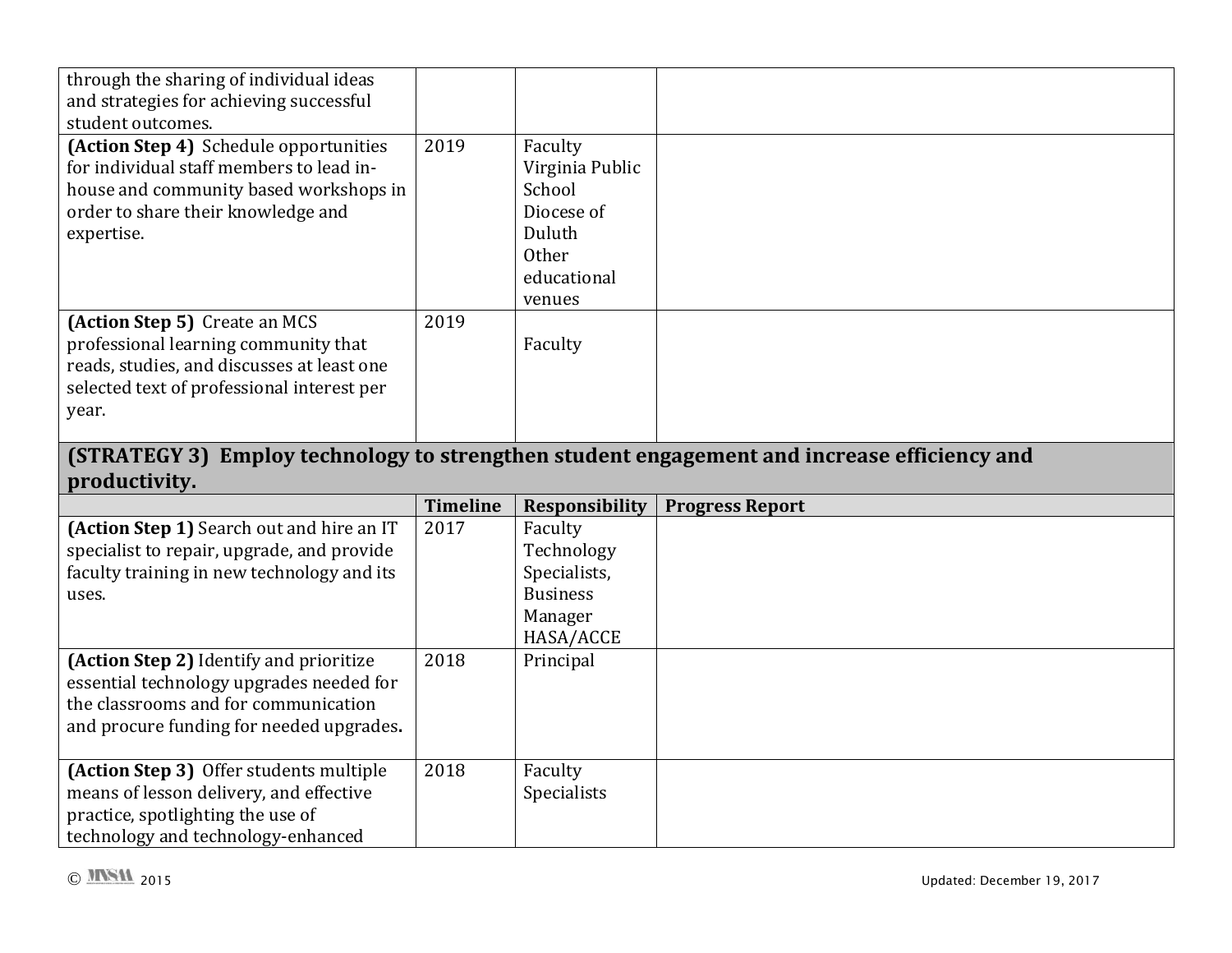| through the sharing of individual ideas<br>and strategies for achieving successful<br>student outcomes.                                                                          |      |                                                                                                       |  |
|----------------------------------------------------------------------------------------------------------------------------------------------------------------------------------|------|-------------------------------------------------------------------------------------------------------|--|
| (Action Step 4) Schedule opportunities<br>for individual staff members to lead in-<br>house and community based workshops in<br>order to share their knowledge and<br>expertise. | 2019 | Faculty<br>Virginia Public<br>School<br>Diocese of<br>Duluth<br><b>Other</b><br>educational<br>venues |  |
| (Action Step 5) Create an MCS<br>professional learning community that<br>reads, studies, and discusses at least one<br>selected text of professional interest per<br>year.       | 2019 | Faculty                                                                                               |  |

## **(STRATEGY 3) Employ technology to strengthen student engagement and increase efficiency and productivity.**

|                                                                                                                                                                         | <b>Timeline</b> | Responsibility                                                                   | <b>Progress Report</b> |
|-------------------------------------------------------------------------------------------------------------------------------------------------------------------------|-----------------|----------------------------------------------------------------------------------|------------------------|
| (Action Step 1) Search out and hire an IT<br>specialist to repair, upgrade, and provide<br>faculty training in new technology and its<br>uses.                          | 2017            | Faculty<br>Technology<br>Specialists,<br><b>Business</b><br>Manager<br>HASA/ACCE |                        |
| (Action Step 2) Identify and prioritize<br>essential technology upgrades needed for<br>the classrooms and for communication<br>and procure funding for needed upgrades. | 2018            | Principal                                                                        |                        |
| (Action Step 3) Offer students multiple<br>means of lesson delivery, and effective<br>practice, spotlighting the use of<br>technology and technology-enhanced           | 2018            | Faculty<br><b>Specialists</b>                                                    |                        |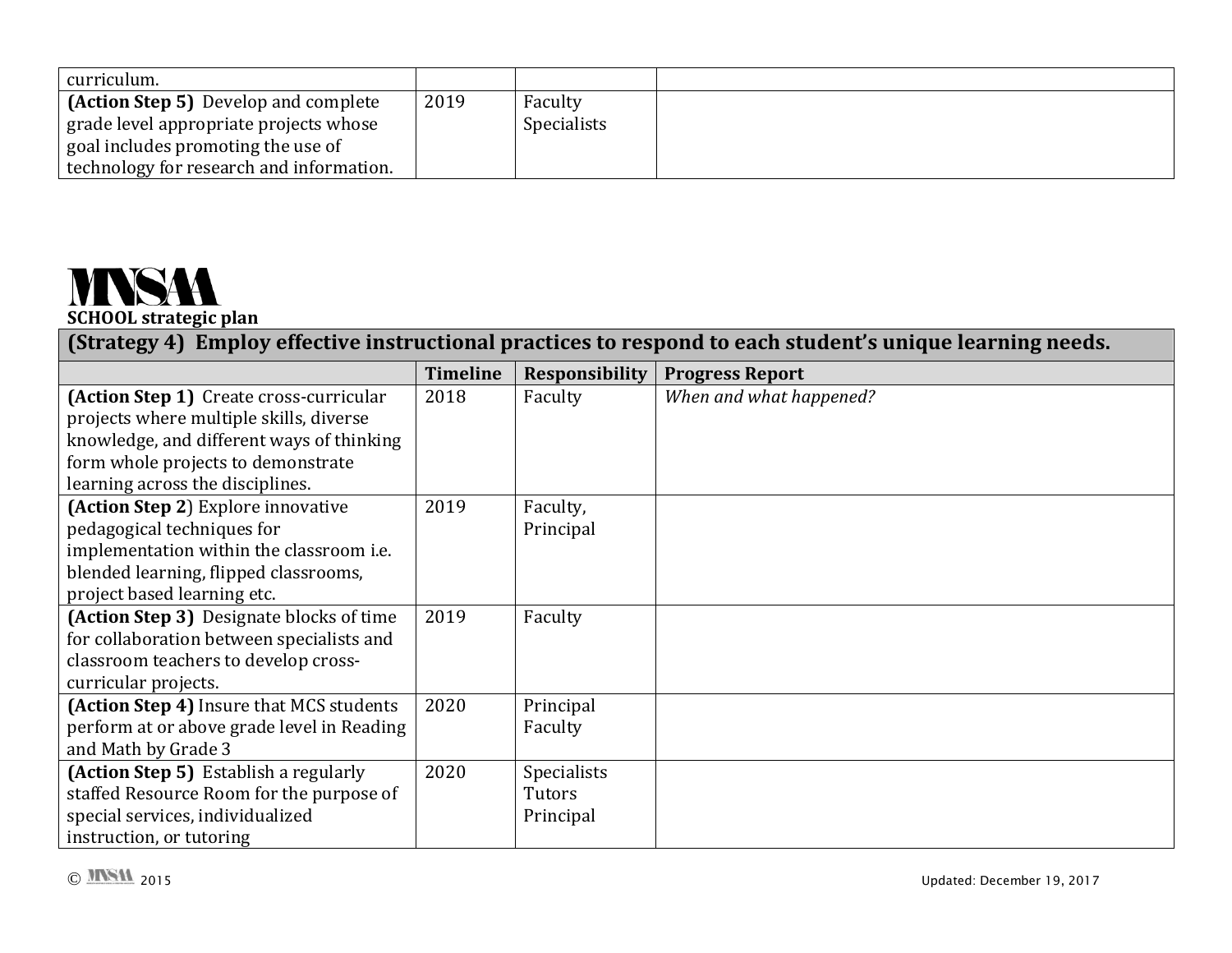| curriculum.                                                                                                                                                             |      |                               |  |
|-------------------------------------------------------------------------------------------------------------------------------------------------------------------------|------|-------------------------------|--|
| <b>(Action Step 5)</b> Develop and complete<br>grade level appropriate projects whose<br>goal includes promoting the use of<br>technology for research and information. | 2019 | Faculty<br><b>Specialists</b> |  |

## **MNSAA SCHOOL strategic plan**

**(Strategy 4) Employ effective instructional practices to respond to each student's unique learning needs.**

|                                            | <b>Timeline</b> | <b>Responsibility</b> | <b>Progress Report</b>  |
|--------------------------------------------|-----------------|-----------------------|-------------------------|
| (Action Step 1) Create cross-curricular    | 2018            | Faculty               | When and what happened? |
| projects where multiple skills, diverse    |                 |                       |                         |
| knowledge, and different ways of thinking  |                 |                       |                         |
| form whole projects to demonstrate         |                 |                       |                         |
| learning across the disciplines.           |                 |                       |                         |
| (Action Step 2) Explore innovative         | 2019            | Faculty,              |                         |
| pedagogical techniques for                 |                 | Principal             |                         |
| implementation within the classroom i.e.   |                 |                       |                         |
| blended learning, flipped classrooms,      |                 |                       |                         |
| project based learning etc.                |                 |                       |                         |
| (Action Step 3) Designate blocks of time   | 2019            | Faculty               |                         |
| for collaboration between specialists and  |                 |                       |                         |
| classroom teachers to develop cross-       |                 |                       |                         |
| curricular projects.                       |                 |                       |                         |
| (Action Step 4) Insure that MCS students   | 2020            | Principal             |                         |
| perform at or above grade level in Reading |                 | Faculty               |                         |
| and Math by Grade 3                        |                 |                       |                         |
| (Action Step 5) Establish a regularly      | 2020            | Specialists           |                         |
| staffed Resource Room for the purpose of   |                 | Tutors                |                         |
| special services, individualized           |                 | Principal             |                         |
| instruction, or tutoring                   |                 |                       |                         |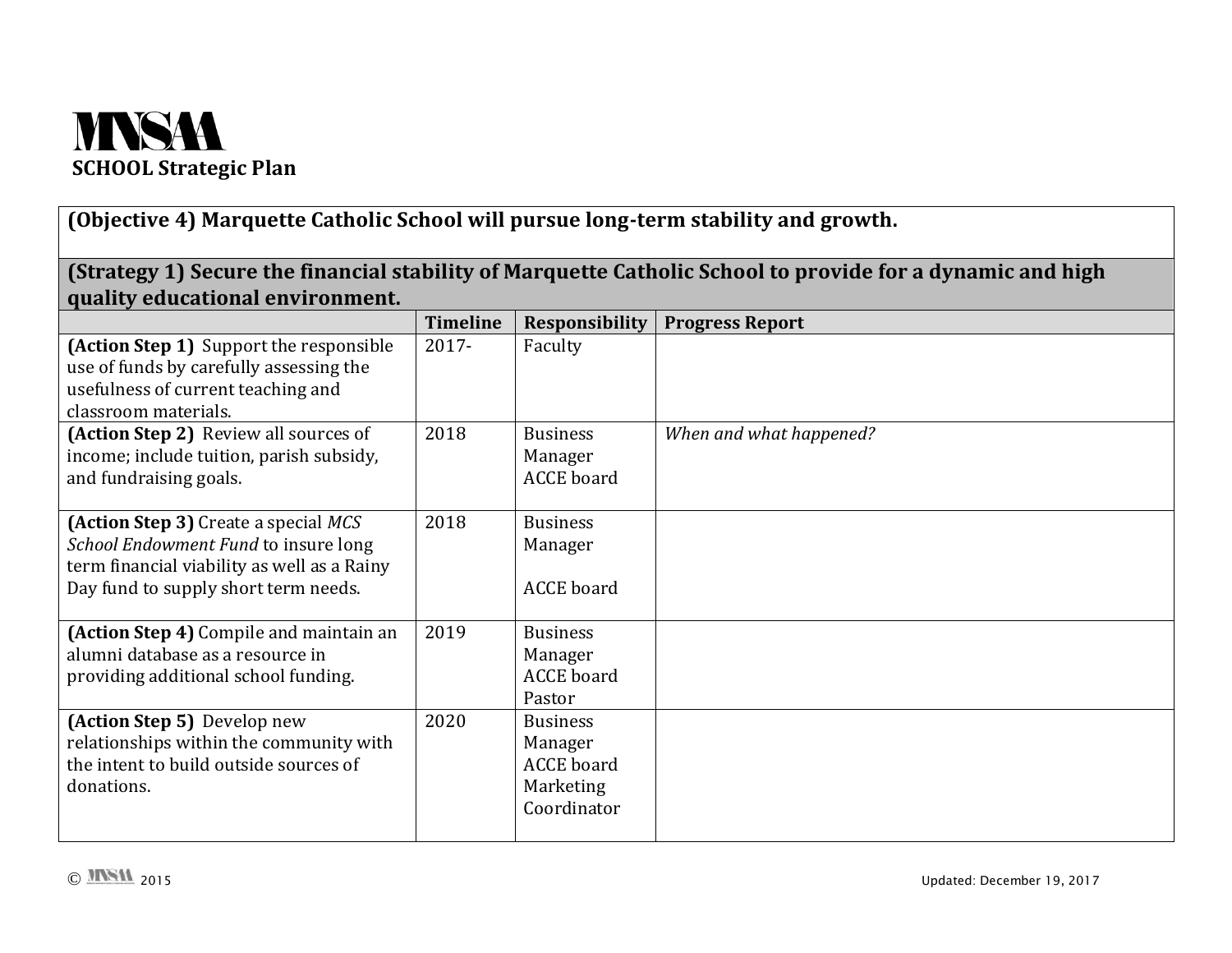

**(Objective 4) Marquette Catholic School will pursue long-term stability and growth.**

| quality educational environment.                                                                                                                                           |                 |                                                 | (Strategy 1) Secure the financial stability of Marquette Catholic School to provide for a dynamic and high |
|----------------------------------------------------------------------------------------------------------------------------------------------------------------------------|-----------------|-------------------------------------------------|------------------------------------------------------------------------------------------------------------|
|                                                                                                                                                                            | <b>Timeline</b> | Responsibility                                  | <b>Progress Report</b>                                                                                     |
| (Action Step 1) Support the responsible<br>use of funds by carefully assessing the<br>usefulness of current teaching and<br>classroom materials.                           | 2017-           | Faculty                                         |                                                                                                            |
| (Action Step 2) Review all sources of<br>income; include tuition, parish subsidy,<br>and fundraising goals.                                                                | 2018            | <b>Business</b><br>Manager<br><b>ACCE</b> board | When and what happened?                                                                                    |
| <b>(Action Step 3)</b> Create a special MCS<br>School Endowment Fund to insure long<br>term financial viability as well as a Rainy<br>Day fund to supply short term needs. | 2018            | <b>Business</b><br>Manager<br><b>ACCE</b> board |                                                                                                            |
| (Action Step 4) Compile and maintain an<br>alumni database as a resource in<br>providing additional school funding.                                                        | 2019            | <b>Business</b><br>Manager<br><b>ACCE</b> board |                                                                                                            |

Pastor

Manager ACCE board Marketing Coordinator

2020 Business

donations.

**(Action Step 5)** Develop new

relationships within the community with the intent to build outside sources of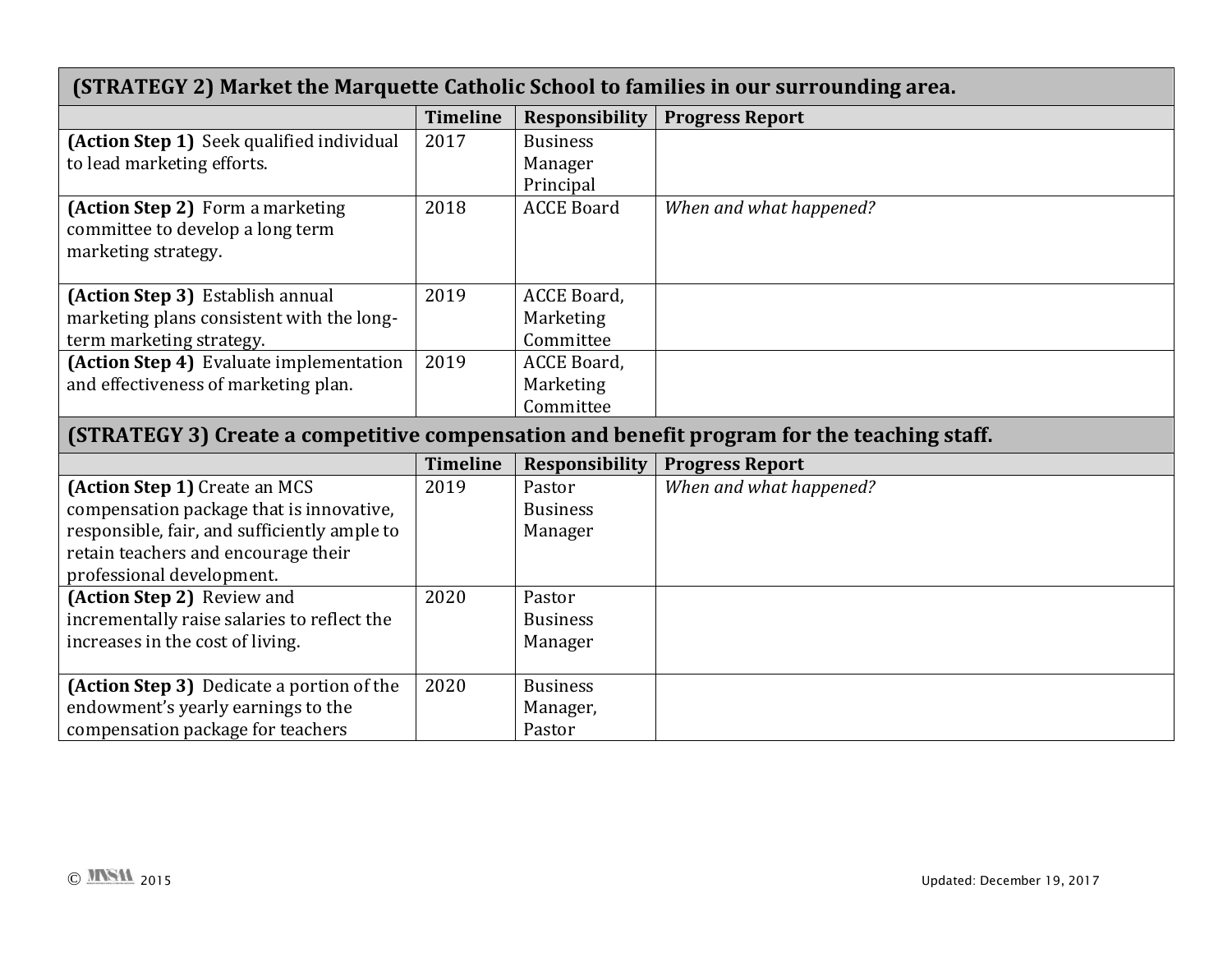| (STRATEGY 2) Market the Marquette Catholic School to families in our surrounding area.     |                 |                        |                         |  |  |  |
|--------------------------------------------------------------------------------------------|-----------------|------------------------|-------------------------|--|--|--|
|                                                                                            | <b>Timeline</b> | <b>Responsibility</b>  | <b>Progress Report</b>  |  |  |  |
| (Action Step 1) Seek qualified individual                                                  | 2017            | <b>Business</b>        |                         |  |  |  |
| to lead marketing efforts.                                                                 |                 | Manager                |                         |  |  |  |
|                                                                                            |                 | Principal              |                         |  |  |  |
| (Action Step 2) Form a marketing                                                           | 2018            | <b>ACCE Board</b>      | When and what happened? |  |  |  |
| committee to develop a long term                                                           |                 |                        |                         |  |  |  |
| marketing strategy.                                                                        |                 |                        |                         |  |  |  |
|                                                                                            |                 |                        |                         |  |  |  |
| (Action Step 3) Establish annual                                                           | 2019            | ACCE Board,            |                         |  |  |  |
| marketing plans consistent with the long-                                                  |                 | Marketing<br>Committee |                         |  |  |  |
| term marketing strategy.<br>(Action Step 4) Evaluate implementation                        | 2019            | ACCE Board,            |                         |  |  |  |
| and effectiveness of marketing plan.                                                       |                 | Marketing              |                         |  |  |  |
|                                                                                            |                 | Committee              |                         |  |  |  |
|                                                                                            |                 |                        |                         |  |  |  |
| (STRATEGY 3) Create a competitive compensation and benefit program for the teaching staff. |                 |                        |                         |  |  |  |
|                                                                                            |                 |                        |                         |  |  |  |
|                                                                                            | <b>Timeline</b> | <b>Responsibility</b>  | <b>Progress Report</b>  |  |  |  |
| (Action Step 1) Create an MCS                                                              | 2019            | Pastor                 | When and what happened? |  |  |  |
| compensation package that is innovative,                                                   |                 | <b>Business</b>        |                         |  |  |  |
| responsible, fair, and sufficiently ample to                                               |                 | Manager                |                         |  |  |  |
| retain teachers and encourage their                                                        |                 |                        |                         |  |  |  |
| professional development.                                                                  |                 |                        |                         |  |  |  |
| (Action Step 2) Review and                                                                 | 2020            | Pastor                 |                         |  |  |  |
| incrementally raise salaries to reflect the                                                |                 | <b>Business</b>        |                         |  |  |  |
| increases in the cost of living.                                                           |                 | Manager                |                         |  |  |  |
| (Action Step 3) Dedicate a portion of the                                                  | 2020            | <b>Business</b>        |                         |  |  |  |
| endowment's yearly earnings to the                                                         |                 | Manager,               |                         |  |  |  |

г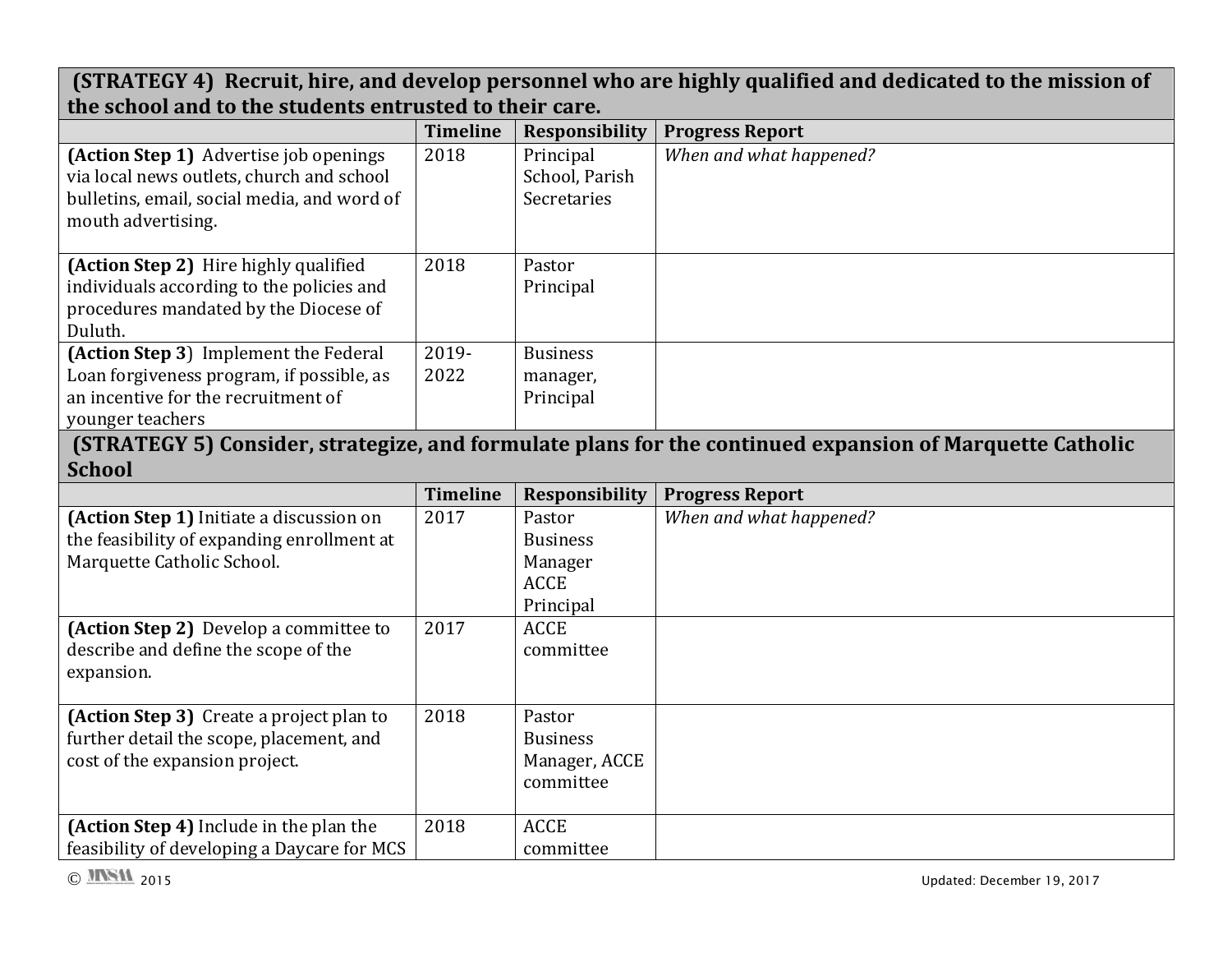|                                                         |                 |                       | (STRATEGY 4) Recruit, hire, and develop personnel who are highly qualified and dedicated to the mission of |
|---------------------------------------------------------|-----------------|-----------------------|------------------------------------------------------------------------------------------------------------|
| the school and to the students entrusted to their care. |                 |                       |                                                                                                            |
|                                                         | <b>Timeline</b> | <b>Responsibility</b> | <b>Progress Report</b>                                                                                     |
| (Action Step 1) Advertise job openings                  | 2018            | Principal             | When and what happened?                                                                                    |
| via local news outlets, church and school               |                 | School, Parish        |                                                                                                            |
| bulletins, email, social media, and word of             |                 | Secretaries           |                                                                                                            |
| mouth advertising.                                      |                 |                       |                                                                                                            |
| (Action Step 2) Hire highly qualified                   | 2018            | Pastor                |                                                                                                            |
| individuals according to the policies and               |                 | Principal             |                                                                                                            |
| procedures mandated by the Diocese of                   |                 |                       |                                                                                                            |
| Duluth.                                                 |                 |                       |                                                                                                            |
| (Action Step 3) Implement the Federal                   | 2019-           | <b>Business</b>       |                                                                                                            |
| Loan forgiveness program, if possible, as               | 2022            | manager,              |                                                                                                            |
| an incentive for the recruitment of                     |                 | Principal             |                                                                                                            |
| younger teachers                                        |                 |                       |                                                                                                            |
|                                                         |                 |                       | (STRATEGY 5) Consider, strategize, and formulate plans for the continued expansion of Marquette Catholic   |
|                                                         |                 |                       |                                                                                                            |
| <b>School</b>                                           |                 |                       |                                                                                                            |
|                                                         | <b>Timeline</b> | <b>Responsibility</b> | <b>Progress Report</b>                                                                                     |
| (Action Step 1) Initiate a discussion on                | 2017            | Pastor                | When and what happened?                                                                                    |
| the feasibility of expanding enrollment at              |                 | <b>Business</b>       |                                                                                                            |
| Marquette Catholic School.                              |                 | Manager               |                                                                                                            |
|                                                         |                 | <b>ACCE</b>           |                                                                                                            |
|                                                         |                 | Principal             |                                                                                                            |
| (Action Step 2) Develop a committee to                  | 2017            | <b>ACCE</b>           |                                                                                                            |
| describe and define the scope of the                    |                 | committee             |                                                                                                            |
| expansion.                                              |                 |                       |                                                                                                            |
|                                                         |                 |                       |                                                                                                            |
| (Action Step 3) Create a project plan to                | 2018            | Pastor                |                                                                                                            |
| further detail the scope, placement, and                |                 | <b>Business</b>       |                                                                                                            |
| cost of the expansion project.                          |                 | Manager, ACCE         |                                                                                                            |
|                                                         |                 | committee             |                                                                                                            |
| (Action Step 4) Include in the plan the                 | 2018            | <b>ACCE</b>           |                                                                                                            |